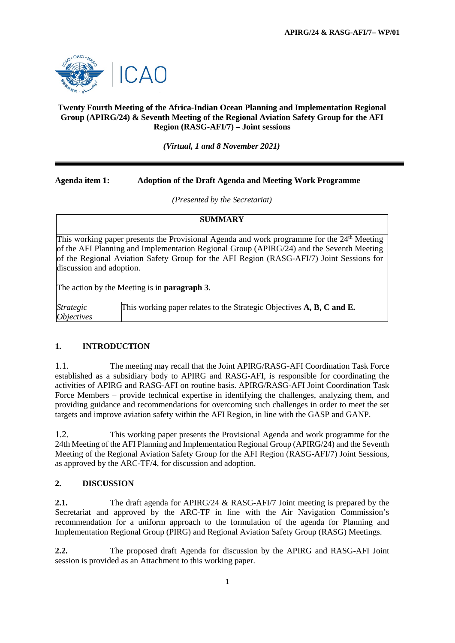

### **Twenty Fourth Meeting of the Africa-Indian Ocean Planning and Implementation Regional Group (APIRG/24) & Seventh Meeting of the Regional Aviation Safety Group for the AFI Region (RASG-AFI/7) – Joint sessions**

*(Virtual, 1 and 8 November 2021)*

## **Agenda item 1: Adoption of the Draft Agenda and Meeting Work Programme**

*(Presented by the Secretariat)*

### **SUMMARY**

This working paper presents the Provisional Agenda and work programme for the 24<sup>th</sup> Meeting of the AFI Planning and Implementation Regional Group (APIRG/24) and the Seventh Meeting of the Regional Aviation Safety Group for the AFI Region (RASG-AFI/7) Joint Sessions for discussion and adoption.

The action by the Meeting is in **paragraph 3**.

| <b>Strategic</b>         | This working paper relates to the Strategic Objectives A, B, C and E. |
|--------------------------|-----------------------------------------------------------------------|
| <i><b>Objectives</b></i> |                                                                       |

### **1. INTRODUCTION**

1.1. The meeting may recall that the Joint APIRG/RASG-AFI Coordination Task Force established as a subsidiary body to APIRG and RASG-AFI, is responsible for coordinating the activities of APIRG and RASG-AFI on routine basis. APIRG/RASG-AFI Joint Coordination Task Force Members – provide technical expertise in identifying the challenges, analyzing them, and providing guidance and recommendations for overcoming such challenges in order to meet the set targets and improve aviation safety within the AFI Region, in line with the GASP and GANP.

1.2. This working paper presents the Provisional Agenda and work programme for the 24th Meeting of the AFI Planning and Implementation Regional Group (APIRG/24) and the Seventh Meeting of the Regional Aviation Safety Group for the AFI Region (RASG-AFI/7) Joint Sessions, as approved by the ARC-TF/4, for discussion and adoption.

### **2. DISCUSSION**

**2.1.** The draft agenda for APIRG/24 & RASG-AFI/7 Joint meeting is prepared by the Secretariat and approved by the ARC-TF in line with the Air Navigation Commission's recommendation for a uniform approach to the formulation of the agenda for Planning and Implementation Regional Group (PIRG) and Regional Aviation Safety Group (RASG) Meetings.

**2.2.** The proposed draft Agenda for discussion by the APIRG and RASG-AFI Joint session is provided as an Attachment to this working paper.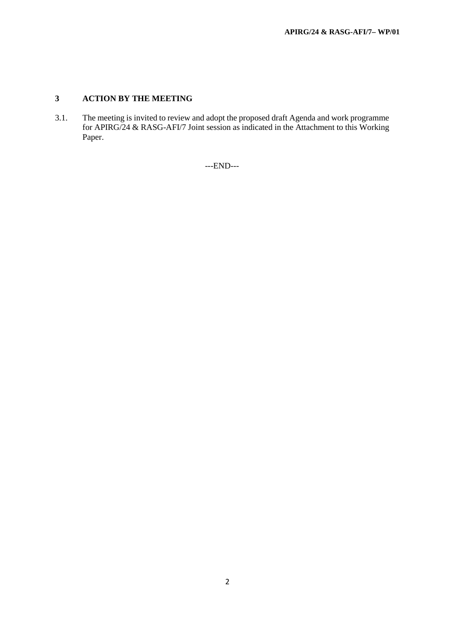# **3 ACTION BY THE MEETING**

3.1. The meeting is invited to review and adopt the proposed draft Agenda and work programme for APIRG/24 & RASG-AFI/7 Joint session as indicated in the Attachment to this Working Paper.

---END---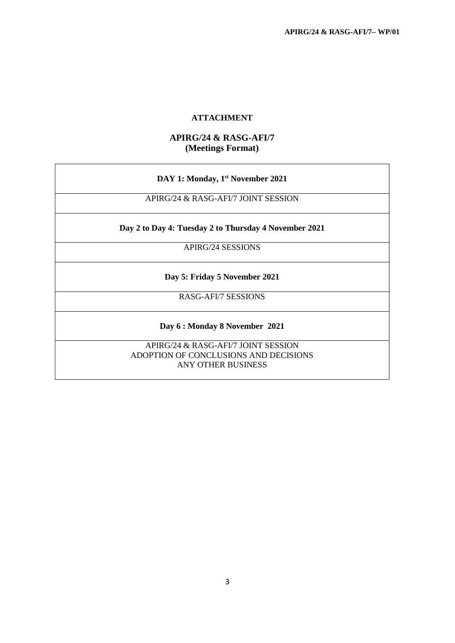### **ATTACHMENT**

## **APIRG/24 & RASG-AFI/7 (Meetings Format)**

APIRG/24 & RASG-AFI/7 JOINT SESSION

**Day 2 to Day 4: Tuesday 2 to Thursday 4 November 2021**

APIRG/24 SESSIONS

**Day 5: Friday 5 November 2021**

RASG-AFI/7 SESSIONS

**Day 6 : Monday 8 November 2021**

APIRG/24 & RASG-AFI/7 JOINT SESSION ADOPTION OF CONCLUSIONS AND DECISIONS ANY OTHER BUSINESS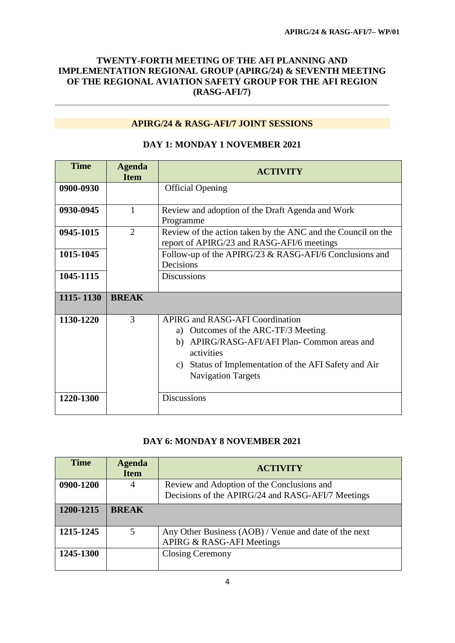# **TWENTY-FORTH MEETING OF THE AFI PLANNING AND IMPLEMENTATION REGIONAL GROUP (APIRG/24) & SEVENTH MEETING OF THE REGIONAL AVIATION SAFETY GROUP FOR THE AFI REGION (RASG-AFI/7)**

## **APIRG/24 & RASG-AFI/7 JOINT SESSIONS**

| <b>Time</b> | <b>Agenda</b><br><b>Item</b> | <b>ACTIVITY</b>                                                                                                                                                                                                                                         |
|-------------|------------------------------|---------------------------------------------------------------------------------------------------------------------------------------------------------------------------------------------------------------------------------------------------------|
| 0900-0930   |                              | <b>Official Opening</b>                                                                                                                                                                                                                                 |
| 0930-0945   | 1                            | Review and adoption of the Draft Agenda and Work<br>Programme                                                                                                                                                                                           |
| 0945-1015   | $\mathfrak{2}$               | Review of the action taken by the ANC and the Council on the<br>report of APIRG/23 and RASG-AFI/6 meetings                                                                                                                                              |
| 1015-1045   |                              | Follow-up of the APIRG/23 & RASG-AFI/6 Conclusions and<br>Decisions                                                                                                                                                                                     |
| 1045-1115   |                              | <b>Discussions</b>                                                                                                                                                                                                                                      |
| 1115-1130   | <b>BREAK</b>                 |                                                                                                                                                                                                                                                         |
| 1130-1220   | 3                            | <b>APIRG and RASG-AFI Coordination</b><br>Outcomes of the ARC-TF/3 Meeting<br>a)<br>APIRG/RASG-AFI/AFI Plan- Common areas and<br>b)<br>activities<br>Status of Implementation of the AFI Safety and Air<br>$\mathcal{C}$ )<br><b>Navigation Targets</b> |
| 1220-1300   |                              | <b>Discussions</b>                                                                                                                                                                                                                                      |

## **DAY 1: MONDAY 1 NOVEMBER 2021**

# **DAY 6: MONDAY 8 NOVEMBER 2021**

| <b>Time</b> | <b>Agenda</b><br><b>Item</b> | <b>ACTIVITY</b>                                       |
|-------------|------------------------------|-------------------------------------------------------|
| 0900-1200   | 4                            | Review and Adoption of the Conclusions and            |
|             |                              | Decisions of the APIRG/24 and RASG-AFI/7 Meetings     |
| 1200-1215   | <b>BREAK</b>                 |                                                       |
| 1215-1245   | 5                            | Any Other Business (AOB) / Venue and date of the next |
|             |                              | APIRG & RASG-AFI Meetings                             |
| 1245-1300   |                              | <b>Closing Ceremony</b>                               |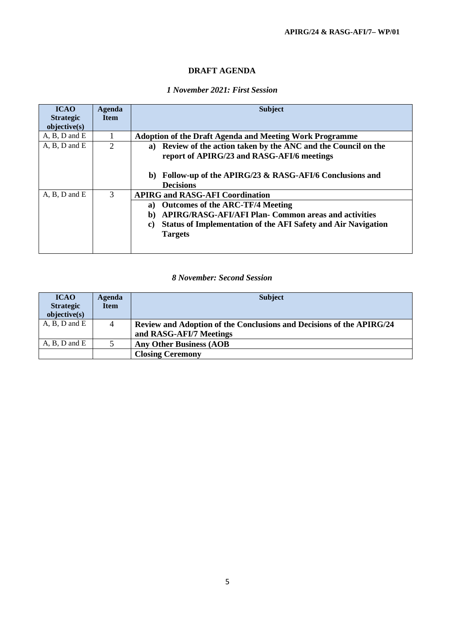## **DRAFT AGENDA**

## *1 November 2021: First Session*

| <b>ICAO</b><br><b>Strategic</b><br>objective(s) | Agenda<br><b>Item</b> | <b>Subject</b>                                                                                                                                                                                                                                               |
|-------------------------------------------------|-----------------------|--------------------------------------------------------------------------------------------------------------------------------------------------------------------------------------------------------------------------------------------------------------|
| $A, B, D$ and $E$                               |                       | <b>Adoption of the Draft Agenda and Meeting Work Programme</b>                                                                                                                                                                                               |
| $A, B, D$ and $E$                               | 2                     | Review of the action taken by the ANC and the Council on the<br>a)<br>report of APIRG/23 and RASG-AFI/6 meetings                                                                                                                                             |
|                                                 |                       | Follow-up of the APIRG/23 & RASG-AFI/6 Conclusions and<br>b)<br><b>Decisions</b>                                                                                                                                                                             |
| $A, B, D$ and $E$                               | 3                     | <b>APIRG and RASG-AFI Coordination</b><br><b>Outcomes of the ARC-TF/4 Meeting</b><br>a)<br><b>APIRG/RASG-AFI/AFI Plan- Common areas and activities</b><br>b)<br><b>Status of Implementation of the AFI Safety and Air Navigation</b><br>C)<br><b>Targets</b> |

### *8 November: Second Session*

| <b>ICAO</b><br><b>Strategic</b><br>objective(s) | Agenda<br><b>Item</b> | <b>Subject</b>                                                                                  |
|-------------------------------------------------|-----------------------|-------------------------------------------------------------------------------------------------|
| $A, B, D$ and $E$                               | 4                     | Review and Adoption of the Conclusions and Decisions of the APIRG/24<br>and RASG-AFI/7 Meetings |
| $A, B, D$ and $E$                               |                       | <b>Any Other Business (AOB</b>                                                                  |
|                                                 |                       | <b>Closing Ceremony</b>                                                                         |